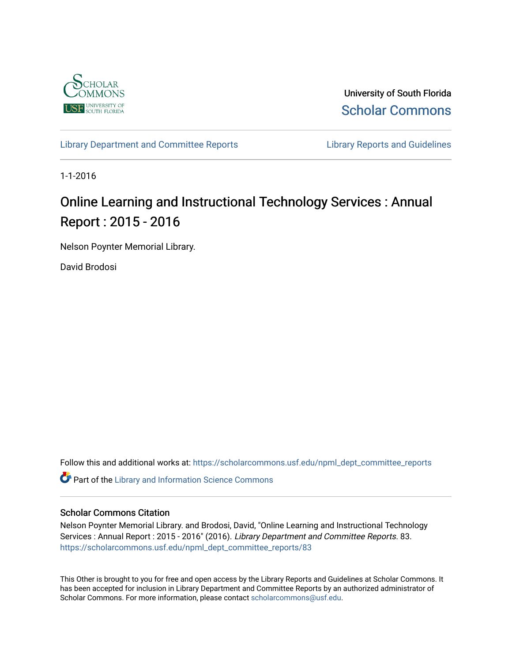

University of South Florida [Scholar Commons](https://scholarcommons.usf.edu/) 

[Library Department and Committee Reports](https://scholarcommons.usf.edu/npml_dept_committee_reports) **Library Reports and Guidelines** 

1-1-2016

# Online Learning and Instructional Technology Services : Annual Report : 2015 - 2016

Nelson Poynter Memorial Library.

David Brodosi

Follow this and additional works at: [https://scholarcommons.usf.edu/npml\\_dept\\_committee\\_reports](https://scholarcommons.usf.edu/npml_dept_committee_reports?utm_source=scholarcommons.usf.edu%2Fnpml_dept_committee_reports%2F83&utm_medium=PDF&utm_campaign=PDFCoverPages)

Part of the [Library and Information Science Commons](http://network.bepress.com/hgg/discipline/1018?utm_source=scholarcommons.usf.edu%2Fnpml_dept_committee_reports%2F83&utm_medium=PDF&utm_campaign=PDFCoverPages) 

#### Scholar Commons Citation

Nelson Poynter Memorial Library. and Brodosi, David, "Online Learning and Instructional Technology Services : Annual Report : 2015 - 2016" (2016). Library Department and Committee Reports. 83. [https://scholarcommons.usf.edu/npml\\_dept\\_committee\\_reports/83](https://scholarcommons.usf.edu/npml_dept_committee_reports/83?utm_source=scholarcommons.usf.edu%2Fnpml_dept_committee_reports%2F83&utm_medium=PDF&utm_campaign=PDFCoverPages) 

This Other is brought to you for free and open access by the Library Reports and Guidelines at Scholar Commons. It has been accepted for inclusion in Library Department and Committee Reports by an authorized administrator of Scholar Commons. For more information, please contact [scholarcommons@usf.edu](mailto:scholarcommons@usf.edu).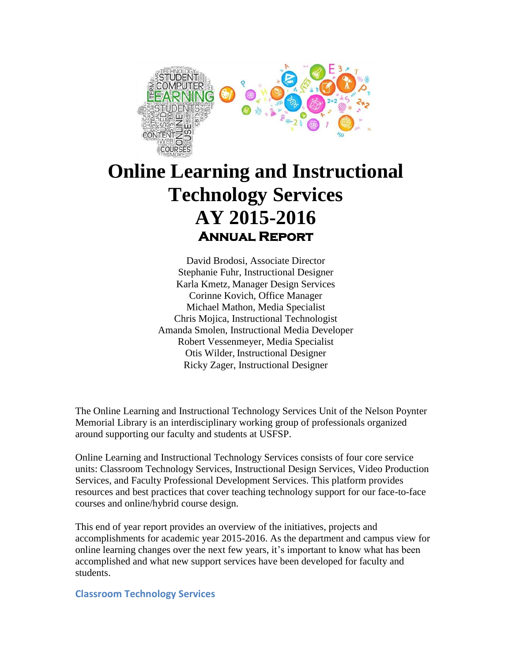

# **Online Learning and Instructional Technology Services AY 2015-2016 Annual Report**

David Brodosi, Associate Director Stephanie Fuhr, Instructional Designer Karla Kmetz, Manager Design Services Corinne Kovich, Office Manager Michael Mathon, Media Specialist Chris Mojica, Instructional Technologist Amanda Smolen, Instructional Media Developer Robert Vessenmeyer, Media Specialist Otis Wilder, Instructional Designer Ricky Zager, Instructional Designer

The Online Learning and Instructional Technology Services Unit of the Nelson Poynter Memorial Library is an interdisciplinary working group of professionals organized around supporting our faculty and students at USFSP.

Online Learning and Instructional Technology Services consists of four core service units: Classroom Technology Services, Instructional Design Services, Video Production Services, and Faculty Professional Development Services. This platform provides resources and best practices that cover teaching technology support for our face-to-face courses and online/hybrid course design.

This end of year report provides an overview of the initiatives, projects and accomplishments for academic year 2015-2016. As the department and campus view for online learning changes over the next few years, it's important to know what has been accomplished and what new support services have been developed for faculty and students.

#### **Classroom Technology Services**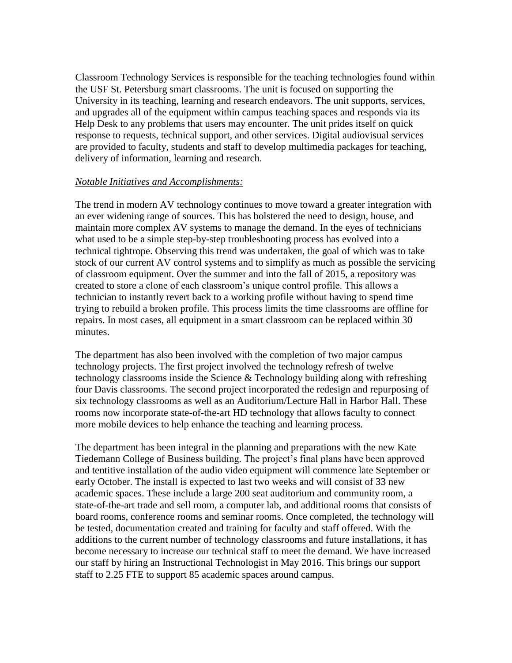Classroom Technology Services is responsible for the teaching technologies found within the USF St. Petersburg smart classrooms. The unit is focused on supporting the University in its teaching, learning and research endeavors. The unit supports, services, and upgrades all of the equipment within campus teaching spaces and responds via its Help Desk to any problems that users may encounter. The unit prides itself on quick response to requests, technical support, and other services. Digital audiovisual services are provided to faculty, students and staff to develop multimedia packages for teaching, delivery of information, learning and research.

#### *Notable Initiatives and Accomplishments:*

The trend in modern AV technology continues to move toward a greater integration with an ever widening range of sources. This has bolstered the need to design, house, and maintain more complex AV systems to manage the demand. In the eyes of technicians what used to be a simple step-by-step troubleshooting process has evolved into a technical tightrope. Observing this trend was undertaken, the goal of which was to take stock of our current AV control systems and to simplify as much as possible the servicing of classroom equipment. Over the summer and into the fall of 2015, a repository was created to store a clone of each classroom's unique control profile. This allows a technician to instantly revert back to a working profile without having to spend time trying to rebuild a broken profile. This process limits the time classrooms are offline for repairs. In most cases, all equipment in a smart classroom can be replaced within 30 minutes.

The department has also been involved with the completion of two major campus technology projects. The first project involved the technology refresh of twelve technology classrooms inside the Science & Technology building along with refreshing four Davis classrooms. The second project incorporated the redesign and repurposing of six technology classrooms as well as an Auditorium/Lecture Hall in Harbor Hall. These rooms now incorporate state-of-the-art HD technology that allows faculty to connect more mobile devices to help enhance the teaching and learning process.

The department has been integral in the planning and preparations with the new Kate Tiedemann College of Business building. The project's final plans have been approved and tentitive installation of the audio video equipment will commence late September or early October. The install is expected to last two weeks and will consist of 33 new academic spaces. These include a large 200 seat auditorium and community room, a state-of-the-art trade and sell room, a computer lab, and additional rooms that consists of board rooms, conference rooms and seminar rooms. Once completed, the technology will be tested, documentation created and training for faculty and staff offered. With the additions to the current number of technology classrooms and future installations, it has become necessary to increase our technical staff to meet the demand. We have increased our staff by hiring an Instructional Technologist in May 2016. This brings our support staff to 2.25 FTE to support 85 academic spaces around campus.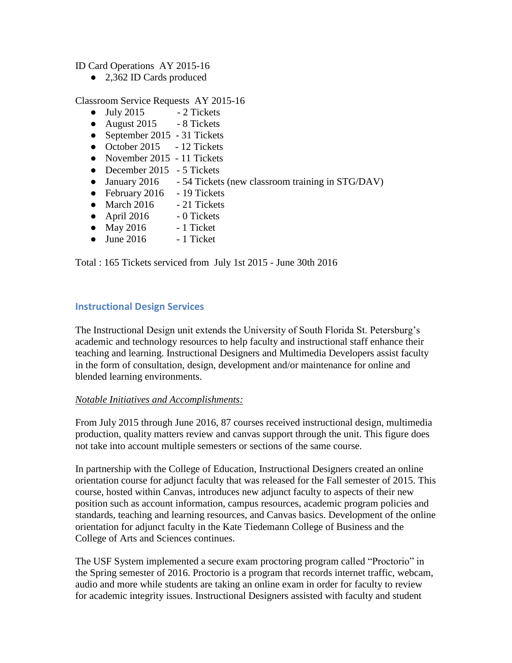ID Card Operations AY 2015-16

● 2,362 ID Cards produced

Classroom Service Requests AY 2015-16

- $\bullet$  July 2015 2 Tickets
- August  $2015 8$  Tickets
- September 2015 31 Tickets
- October 2015 12 Tickets
- November 2015 11 Tickets
- December 2015 5 Tickets
- January 2016 54 Tickets (new classroom training in STG/DAV)
- February 2016 19 Tickets
- $\bullet$  March 2016  $\bullet$  21 Tickets
- $\bullet$  April 2016 0 Tickets
- May  $2016$  1 Ticket
- $\bullet$  June 2016 1 Ticket

Total : 165 Tickets serviced from July 1st 2015 - June 30th 2016

#### **Instructional Design Services**

The Instructional Design unit extends the University of South Florida St. Petersburg's academic and technology resources to help faculty and instructional staff enhance their teaching and learning. Instructional Designers and Multimedia Developers assist faculty in the form of consultation, design, development and/or maintenance for online and blended learning environments.

#### *Notable Initiatives and Accomplishments:*

From July 2015 through June 2016, 87 courses received instructional design, multimedia production, quality matters review and canvas support through the unit. This figure does not take into account multiple semesters or sections of the same course.

In partnership with the College of Education, Instructional Designers created an online orientation course for adjunct faculty that was released for the Fall semester of 2015. This course, hosted within Canvas, introduces new adjunct faculty to aspects of their new position such as account information, campus resources, academic program policies and standards, teaching and learning resources, and Canvas basics. Development of the online orientation for adjunct faculty in the Kate Tiedemann College of Business and the College of Arts and Sciences continues.

The USF System implemented a secure exam proctoring program called "Proctorio" in the Spring semester of 2016. Proctorio is a program that records internet traffic, webcam, audio and more while students are taking an online exam in order for faculty to review for academic integrity issues. Instructional Designers assisted with faculty and student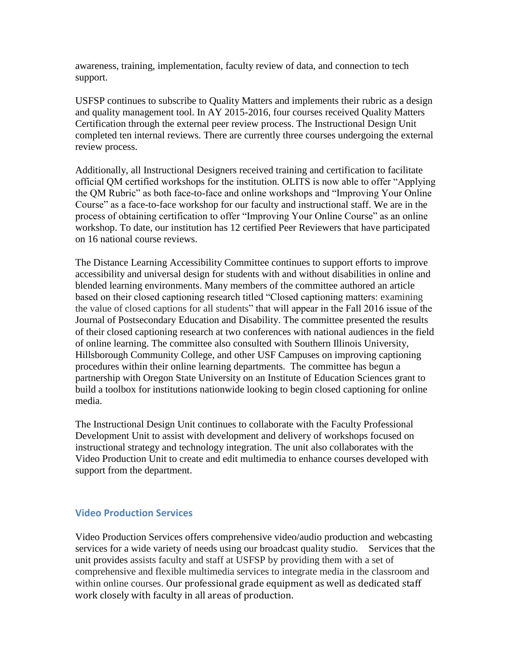awareness, training, implementation, faculty review of data, and connection to tech support.

USFSP continues to subscribe to Quality Matters and implements their rubric as a design and quality management tool. In AY 2015-2016, four courses received Quality Matters Certification through the external peer review process. The Instructional Design Unit completed ten internal reviews. There are currently three courses undergoing the external review process.

Additionally, all Instructional Designers received training and certification to facilitate official QM certified workshops for the institution. OLITS is now able to offer "Applying the QM Rubric" as both face-to-face and online workshops and "Improving Your Online Course" as a face-to-face workshop for our faculty and instructional staff. We are in the process of obtaining certification to offer "Improving Your Online Course" as an online workshop. To date, our institution has 12 certified Peer Reviewers that have participated on 16 national course reviews.

The Distance Learning Accessibility Committee continues to support efforts to improve accessibility and universal design for students with and without disabilities in online and blended learning environments. Many members of the committee authored an article based on their closed captioning research titled "Closed captioning matters: examining the value of closed captions for all students" that will appear in the Fall 2016 issue of the Journal of Postsecondary Education and Disability. The committee presented the results of their closed captioning research at two conferences with national audiences in the field of online learning. The committee also consulted with Southern Illinois University, Hillsborough Community College, and other USF Campuses on improving captioning procedures within their online learning departments. The committee has begun a partnership with Oregon State University on an Institute of Education Sciences grant to build a toolbox for institutions nationwide looking to begin closed captioning for online media.

The Instructional Design Unit continues to collaborate with the Faculty Professional Development Unit to assist with development and delivery of workshops focused on instructional strategy and technology integration. The unit also collaborates with the Video Production Unit to create and edit multimedia to enhance courses developed with support from the department.

#### **Video Production Services**

Video Production Services offers comprehensive video/audio production and webcasting services for a wide variety of needs using our broadcast quality studio. Services that the unit provides assists faculty and staff at USFSP by providing them with a set of comprehensive and flexible multimedia services to integrate media in the classroom and within online courses. Our professional grade equipment as well as dedicated staff work closely with faculty in all areas of production.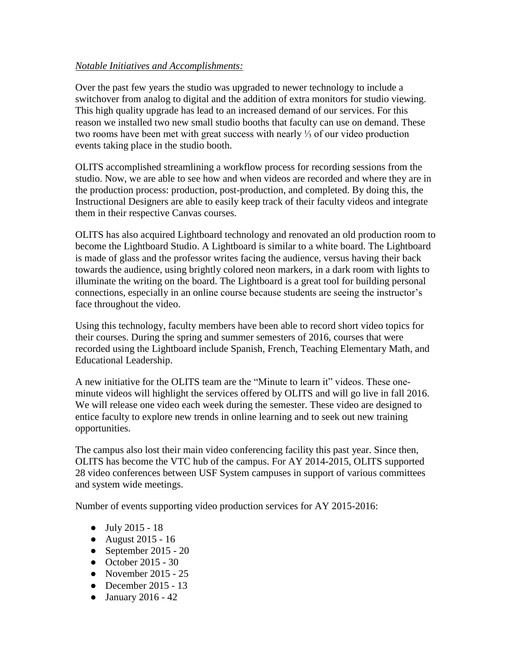#### *Notable Initiatives and Accomplishments:*

Over the past few years the studio was upgraded to newer technology to include a switchover from analog to digital and the addition of extra monitors for studio viewing. This high quality upgrade has lead to an increased demand of our services. For this reason we installed two new small studio booths that faculty can use on demand. These two rooms have been met with great success with nearly ⅓ of our video production events taking place in the studio booth.

OLITS accomplished streamlining a workflow process for recording sessions from the studio. Now, we are able to see how and when videos are recorded and where they are in the production process: production, post-production, and completed. By doing this, the Instructional Designers are able to easily keep track of their faculty videos and integrate them in their respective Canvas courses.

OLITS has also acquired Lightboard technology and renovated an old production room to become the Lightboard Studio. A Lightboard is similar to a white board. The Lightboard is made of glass and the professor writes facing the audience, versus having their back towards the audience, using brightly colored neon markers, in a dark room with lights to illuminate the writing on the board. The Lightboard is a great tool for building personal connections, especially in an online course because students are seeing the instructor's face throughout the video.

Using this technology, faculty members have been able to record short video topics for their courses. During the spring and summer semesters of 2016, courses that were recorded using the Lightboard include Spanish, French, Teaching Elementary Math, and Educational Leadership.

A new initiative for the OLITS team are the "Minute to learn it" videos. These oneminute videos will highlight the services offered by OLITS and will go live in fall 2016. We will release one video each week during the semester. These video are designed to entice faculty to explore new trends in online learning and to seek out new training opportunities.

The campus also lost their main video conferencing facility this past year. Since then, OLITS has become the VTC hub of the campus. For AY 2014-2015, OLITS supported 28 video conferences between USF System campuses in support of various committees and system wide meetings.

Number of events supporting video production services for AY 2015-2016:

- July 2015 18
- August 2015 16
- September 2015 20
- October 2015 30
- November 2015 25
- December 2015 13
- January 2016 42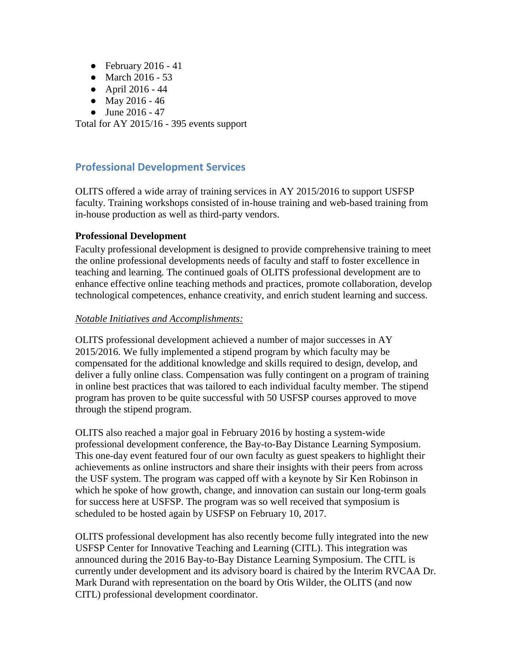- February 2016 41
- March 2016 53
- April 2016 44
- May 2016 46
- June  $2016 47$

Total for AY 2015/16 - 395 events support

# **Professional Development Services**

OLITS offered a wide array of training services in AY 2015/2016 to support USFSP faculty. Training workshops consisted of in-house training and web-based training from in-house production as well as third-party vendors.

#### **Professional Development**

Faculty professional development is designed to provide comprehensive training to meet the online professional developments needs of faculty and staff to foster excellence in teaching and learning. The continued goals of OLITS professional development are to enhance effective online teaching methods and practices, promote collaboration, develop technological competences, enhance creativity, and enrich student learning and success.

#### *Notable Initiatives and Accomplishments:*

OLITS professional development achieved a number of major successes in AY 2015/2016. We fully implemented a stipend program by which faculty may be compensated for the additional knowledge and skills required to design, develop, and deliver a fully online class. Compensation was fully contingent on a program of training in online best practices that was tailored to each individual faculty member. The stipend program has proven to be quite successful with 50 USFSP courses approved to move through the stipend program.

OLITS also reached a major goal in February 2016 by hosting a system-wide professional development conference, the Bay-to-Bay Distance Learning Symposium. This one-day event featured four of our own faculty as guest speakers to highlight their achievements as online instructors and share their insights with their peers from across the USF system. The program was capped off with a keynote by Sir Ken Robinson in which he spoke of how growth, change, and innovation can sustain our long-term goals for success here at USFSP. The program was so well received that symposium is scheduled to be hosted again by USFSP on February 10, 2017.

OLITS professional development has also recently become fully integrated into the new USFSP Center for Innovative Teaching and Learning (CITL). This integration was announced during the 2016 Bay-to-Bay Distance Learning Symposium. The CITL is currently under development and its advisory board is chaired by the Interim RVCAA Dr. Mark Durand with representation on the board by Otis Wilder, the OLITS (and now CITL) professional development coordinator.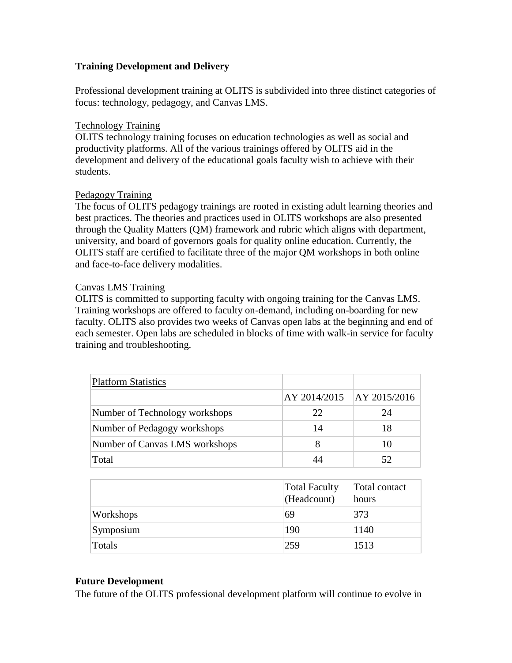#### **Training Development and Delivery**

Professional development training at OLITS is subdivided into three distinct categories of focus: technology, pedagogy, and Canvas LMS.

#### Technology Training

OLITS technology training focuses on education technologies as well as social and productivity platforms. All of the various trainings offered by OLITS aid in the development and delivery of the educational goals faculty wish to achieve with their students.

#### Pedagogy Training

The focus of OLITS pedagogy trainings are rooted in existing adult learning theories and best practices. The theories and practices used in OLITS workshops are also presented through the Quality Matters (QM) framework and rubric which aligns with department, university, and board of governors goals for quality online education. Currently, the OLITS staff are certified to facilitate three of the major QM workshops in both online and face-to-face delivery modalities.

#### Canvas LMS Training

OLITS is committed to supporting faculty with ongoing training for the Canvas LMS. Training workshops are offered to faculty on-demand, including on-boarding for new faculty. OLITS also provides two weeks of Canvas open labs at the beginning and end of each semester. Open labs are scheduled in blocks of time with walk-in service for faculty training and troubleshooting.

| <b>Platform Statistics</b>     |                             |    |
|--------------------------------|-----------------------------|----|
|                                | AY 2014/2015   AY 2015/2016 |    |
| Number of Technology workshops | 22.                         | 24 |
| Number of Pedagogy workshops   | 14                          | 18 |
| Number of Canvas LMS workshops |                             | 10 |
| Total                          |                             |    |

|           | <b>Total Faculty</b><br>(Headcount) | Total contact<br>hours |
|-----------|-------------------------------------|------------------------|
| Workshops | 69                                  | 373                    |
| Symposium | 190                                 | 1140                   |
| Totals    | 259                                 | 1513                   |

#### **Future Development**

The future of the OLITS professional development platform will continue to evolve in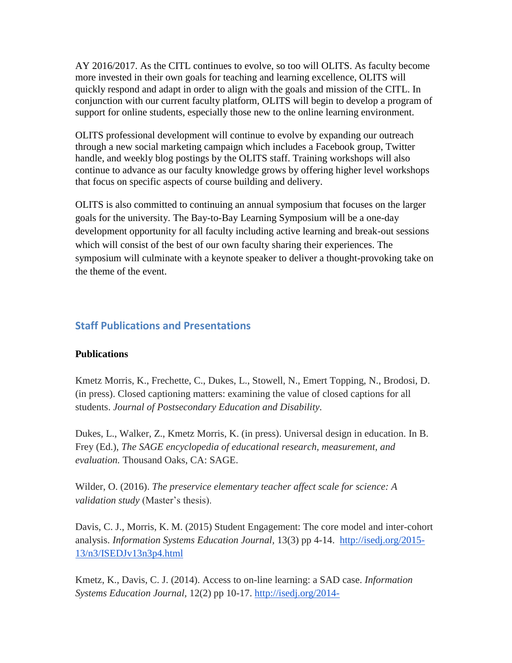AY 2016/2017. As the CITL continues to evolve, so too will OLITS. As faculty become more invested in their own goals for teaching and learning excellence, OLITS will quickly respond and adapt in order to align with the goals and mission of the CITL. In conjunction with our current faculty platform, OLITS will begin to develop a program of support for online students, especially those new to the online learning environment.

OLITS professional development will continue to evolve by expanding our outreach through a new social marketing campaign which includes a Facebook group, Twitter handle, and weekly blog postings by the OLITS staff. Training workshops will also continue to advance as our faculty knowledge grows by offering higher level workshops that focus on specific aspects of course building and delivery.

OLITS is also committed to continuing an annual symposium that focuses on the larger goals for the university. The Bay-to-Bay Learning Symposium will be a one-day development opportunity for all faculty including active learning and break-out sessions which will consist of the best of our own faculty sharing their experiences. The symposium will culminate with a keynote speaker to deliver a thought-provoking take on the theme of the event.

# **Staff Publications and Presentations**

#### **Publications**

Kmetz Morris, K., Frechette, C., Dukes, L., Stowell, N., Emert Topping, N., Brodosi, D. (in press). Closed captioning matters: examining the value of closed captions for all students. *Journal of Postsecondary Education and Disability.*

Dukes, L., Walker, Z., Kmetz Morris, K. (in press). Universal design in education. In B. Frey (Ed.), *The SAGE encyclopedia of educational research, measurement, and evaluation.* Thousand Oaks, CA: SAGE.

Wilder, O. (2016). *The preservice elementary teacher affect scale for science: A validation study* (Master's thesis).

Davis, C. J., Morris, K. M. (2015) Student Engagement: The core model and inter-cohort analysis. *Information Systems Education Journal,* 13(3) pp 4-14.[http://isedj.org/2015-](http://isedj.org/2015-13/n3/ISEDJv13n3p4.html) [13/n3/ISEDJv13n3p4.html](http://isedj.org/2015-13/n3/ISEDJv13n3p4.html)

Kmetz, K., Davis, C. J. (2014). Access to on-line learning: a SAD case. *Information Systems Education Journal,* 12(2) pp 10-17. [http://isedj.org/2014-](http://isedj.org/2014-12/n2/ISEDJv12n2p10.html)